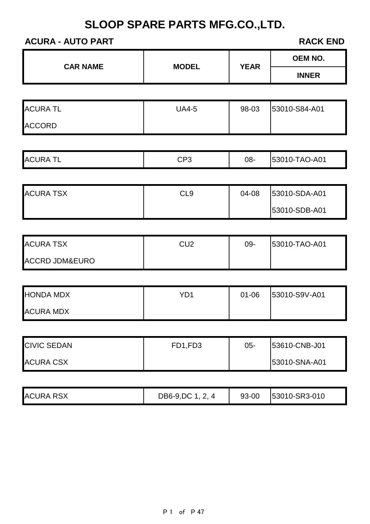## **ACURA - AUTO PART RACK END**

|                   |              | <b>OEM NO.</b> |
|-------------------|--------------|----------------|
|                   |              | <b>INNER</b>   |
|                   |              |                |
| <b>UA4-5</b>      | 98-03        | 53010-S84-A01  |
|                   |              |                |
|                   |              |                |
| CP <sub>3</sub>   | 08-          | 53010-TAO-A01  |
|                   |              |                |
| CL <sub>9</sub>   | 04-08        | 53010-SDA-A01  |
|                   |              | 53010-SDB-A01  |
|                   |              |                |
| CU <sub>2</sub>   | 09-          | 53010-TAO-A01  |
|                   |              |                |
|                   |              |                |
| YD <sub>1</sub>   | $01 - 06$    | 53010-S9V-A01  |
|                   |              |                |
|                   |              |                |
| FD1,FD3           | $05 -$       | 53610-CNB-J01  |
|                   |              | 53010-SNA-A01  |
|                   |              |                |
| DB6-9, DC 1, 2, 4 | 93-00        | 53010-SR3-010  |
|                   |              |                |
|                   | <b>MODEL</b> | <b>YEAR</b>    |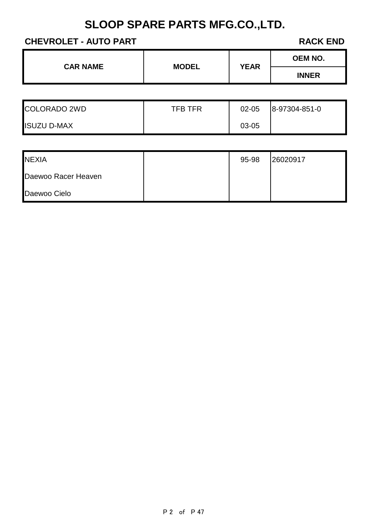## **CHEVROLET - AUTO PART RACK END**

| <b>CAR NAME</b> | <b>MODEL</b> | <b>YEAR</b> | <b>OEM NO.</b> |
|-----------------|--------------|-------------|----------------|
|                 |              |             | <b>INNER</b>   |
|                 |              |             |                |

| COLORADO 2WD       | <b>TFB TFR</b> | $02 - 05$ | 8-97304-851-0 |
|--------------------|----------------|-----------|---------------|
| <b>ISUZU D-MAX</b> |                | 03-05     |               |

| <b>NEXIA</b>        | 95-98 | 26020917 |
|---------------------|-------|----------|
| Daewoo Racer Heaven |       |          |
| Daewoo Cielo        |       |          |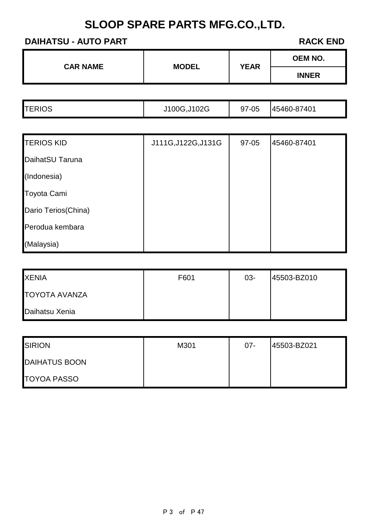### **DAIHATSU - AUTO PART RACK END**

| <b>CAR NAME</b> | <b>MODEL</b> | <b>YEAR</b> | <b>OEM NO.</b> |
|-----------------|--------------|-------------|----------------|
|                 |              |             | <b>INNER</b>   |

| <b>TERIOS</b> | J100G, J102G | 97-05 | 45460-87401 |
|---------------|--------------|-------|-------------|
|               |              |       |             |

| <b>TERIOS KID</b>   | J111G, J122G, J131G | 97-05 | 45460-87401 |
|---------------------|---------------------|-------|-------------|
| DaihatSU Taruna     |                     |       |             |
| (Indonesia)         |                     |       |             |
| Toyota Cami         |                     |       |             |
| Dario Terios(China) |                     |       |             |
| Perodua kembara     |                     |       |             |
| (Malaysia)          |                     |       |             |

| <b>XENIA</b>         | F601 | $03 -$ | 45503-BZ010 |
|----------------------|------|--------|-------------|
| <b>TOYOTA AVANZA</b> |      |        |             |
| Daihatsu Xenia       |      |        |             |

| <b>SIRION</b>        | M301 | $07 -$ | 45503-BZ021 |
|----------------------|------|--------|-------------|
| <b>DAIHATUS BOON</b> |      |        |             |
| <b>TOYOA PASSO</b>   |      |        |             |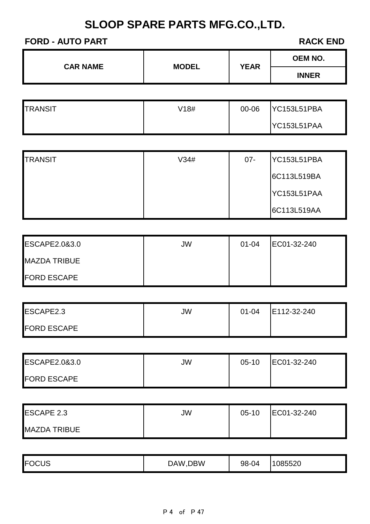#### **FORD - AUTO PART RACK END**

| <b>INNER</b> | <b>CAR NAME</b> | <b>MODEL</b> | <b>YEAR</b> | <b>OEM NO.</b> |
|--------------|-----------------|--------------|-------------|----------------|
|              |                 |              |             |                |

| <b>TRANSIT</b> | V18# | 00-06 | YC153L51PBA |
|----------------|------|-------|-------------|
|                |      |       | YC153L51PAA |

| <b>TRANSIT</b> | V34# | $07 -$ | YC153L51PBA |
|----------------|------|--------|-------------|
|                |      |        | 6C113L519BA |
|                |      |        | YC153L51PAA |
|                |      |        | 6C113L519AA |

| <b>ESCAPE2.0&amp;3.0</b> | JW | $01 - 04$ | EC01-32-240 |
|--------------------------|----|-----------|-------------|
| <b>MAZDA TRIBUE</b>      |    |           |             |
| <b>FORD ESCAPE</b>       |    |           |             |

| ESCAPE2.3          | JW | $01 - 04$ | E112-32-240 |
|--------------------|----|-----------|-------------|
| <b>FORD ESCAPE</b> |    |           |             |

| <b>ESCAPE2.0&amp;3.0</b> | JW | $05-10$ | EC01-32-240 |
|--------------------------|----|---------|-------------|
| <b>FORD ESCAPE</b>       |    |         |             |

| <b>ESCAPE 2.3</b>   | JW | $05-10$ | EC01-32-240 |
|---------------------|----|---------|-------------|
| <b>MAZDA TRIBUE</b> |    |         |             |

|  | <b>FOC</b><br>או ור | )BW<br>DА<br>w | $\sim$<br>98-1<br>ാ മ<br>JU | E E O<br>າວ∠ບ<br>35.55 |
|--|---------------------|----------------|-----------------------------|------------------------|
|--|---------------------|----------------|-----------------------------|------------------------|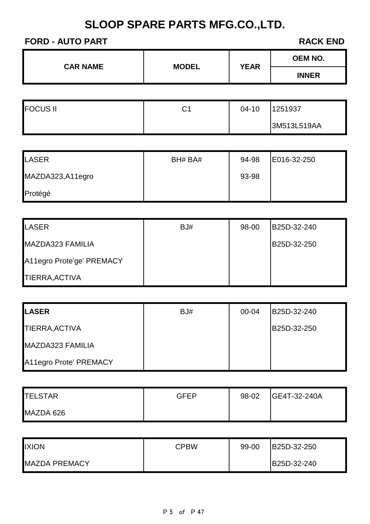#### **FORD - AUTO PART RACK END**

| <b>CAR NAME</b> | <b>MODEL</b> | <b>YEAR</b> | <b>OEM NO.</b> |
|-----------------|--------------|-------------|----------------|
|                 |              |             | <b>INNER</b>   |

| <b>FOCUS II</b> | <b>r</b><br>ا ب | $04 - 10$ | 1251937     |
|-----------------|-----------------|-----------|-------------|
|                 |                 |           | 3M513L519AA |

| LASER            | BH# BA# | 94-98 | E016-32-250 |
|------------------|---------|-------|-------------|
| MAZDA323,A11egro |         | 93-98 |             |
| Protégé          |         |       |             |

| <b>LASER</b>              | BJ# | 98-00 | B25D-32-240 |
|---------------------------|-----|-------|-------------|
| MAZDA323 FAMILIA          |     |       | B25D-32-250 |
| A11egro Prote'ge' PREMACY |     |       |             |
| TIERRA, ACTIVA            |     |       |             |

| <b>LASER</b>           | BJ# | $00 - 04$ | B25D-32-240 |
|------------------------|-----|-----------|-------------|
| TIERRA, ACTIVA         |     |           | B25D-32-250 |
| MAZDA323 FAMILIA       |     |           |             |
| A11egro Prote' PREMACY |     |           |             |

| <b>TELSTAR</b> | GEEP | 98-02 | <b>GE4T-32-240A</b> |
|----------------|------|-------|---------------------|
| MAZDA 626      |      |       |                     |

| <b>IXION</b>         | CPBW | 99-00 | B25D-32-250 |
|----------------------|------|-------|-------------|
| <b>MAZDA PREMACY</b> |      |       | B25D-32-240 |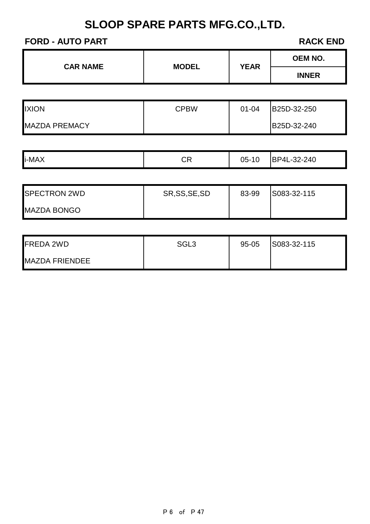## **FORD - AUTO PART RACK END**

| <b>CAR NAME</b> | <b>MODEL</b> | <b>YEAR</b> | <b>OEM NO.</b> |
|-----------------|--------------|-------------|----------------|
|                 |              |             | <b>INNER</b>   |
|                 |              |             |                |

| <b>IXION</b>         | CPBW | $01 - 04$ | B25D-32-250 |
|----------------------|------|-----------|-------------|
| <b>MAZDA PREMACY</b> |      |           | B25D-32-240 |

| i-MAX | <b>CR</b> | 05-<br>10 | <b>BP4L</b><br>$-32-240$ |
|-------|-----------|-----------|--------------------------|
|-------|-----------|-----------|--------------------------|

| <b>SPECTRON 2WD</b> | SR, SS, SE, SD | 83-99 | S083-32-115 |
|---------------------|----------------|-------|-------------|
| <b>MAZDA BONGO</b>  |                |       |             |

| <b>FREDA 2WD</b>      | SGL <sub>3</sub> | 95-05 | S083-32-115 |
|-----------------------|------------------|-------|-------------|
| <b>MAZDA FRIENDEE</b> |                  |       |             |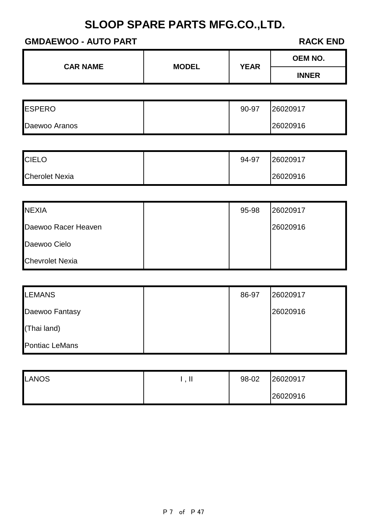#### **GMDAEWOO - AUTO PART RACK END**

| <b>CAR NAME</b> | <b>MODEL</b> | <b>YEAR</b> | <b>OEM NO.</b> |
|-----------------|--------------|-------------|----------------|
|                 |              |             | <b>INNER</b>   |
|                 |              |             |                |

| <b>ESPERO</b> | 90-97 | 26020917 |
|---------------|-------|----------|
| Daewoo Aranos |       | 26020916 |

| <b>CIELO</b>          | 94-97 | 26020917 |
|-----------------------|-------|----------|
| <b>Cherolet Nexia</b> |       | 26020916 |

| <b>NEXIA</b>           | 95-98 | 26020917 |
|------------------------|-------|----------|
| Daewoo Racer Heaven    |       | 26020916 |
| Daewoo Cielo           |       |          |
| <b>Chevrolet Nexia</b> |       |          |

| <b>LEMANS</b>         | 86-97 | 26020917 |
|-----------------------|-------|----------|
| Daewoo Fantasy        |       | 26020916 |
| (Thai land)           |       |          |
| <b>Pontiac LeMans</b> |       |          |

| LANOS | . | 98-02 | 26020917 |
|-------|---|-------|----------|
|       |   |       | 26020916 |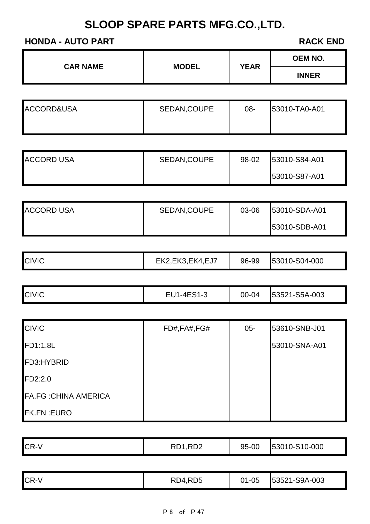### **HONDA - AUTO PART RACK END**

| <b>INNER</b> | <b>CAR NAME</b> |              | <b>YEAR</b> | <b>OEM NO.</b> |
|--------------|-----------------|--------------|-------------|----------------|
|              |                 | <b>MODEL</b> |             |                |

| ACCORD&USA | SEDAN, COUPE | 08- | <b>53010-TA0-A01</b> |
|------------|--------------|-----|----------------------|
|            |              |     |                      |

| <b>ACCORD USA</b> | SEDAN, COUPE | 98-02 | <b>53010-S84-A01</b> |
|-------------------|--------------|-------|----------------------|
|                   |              |       | <b>53010-S87-A01</b> |

| <b>ACCORD USA</b> | SEDAN, COUPE | 03-06 | <b>53010-SDA-A01</b> |
|-------------------|--------------|-------|----------------------|
|                   |              |       | 153010-SDB-A01       |

|  | <b>CIVIC</b> | EK2, EK3, EK4, EJ7 | 96-99 | 53010-S04-000 |
|--|--------------|--------------------|-------|---------------|
|--|--------------|--------------------|-------|---------------|

| <b>CIVIC</b> | EU1-4ES1-3 | 00-04 | 53521-S5A-003 |
|--------------|------------|-------|---------------|
|--------------|------------|-------|---------------|

| <b>CIVIC</b>                 | FD#,FA#,FG# | $05 -$ | 53610-SNB-J01 |
|------------------------------|-------------|--------|---------------|
| <b>FD1:1.8L</b>              |             |        | 53010-SNA-A01 |
| FD3:HYBRID                   |             |        |               |
| FD2:2.0                      |             |        |               |
| <b>FA.FG : CHINA AMERICA</b> |             |        |               |
| <b>FK.FN:EURO</b>            |             |        |               |

| CR-V | RD1,RD2 | 95-00 | 53010-S10-000 |
|------|---------|-------|---------------|
|------|---------|-------|---------------|

| <b>CR-V</b> | RD4,RD5 | $01 - 05$ | 53521-S9A-003 |
|-------------|---------|-----------|---------------|
|-------------|---------|-----------|---------------|

P 8 of P 47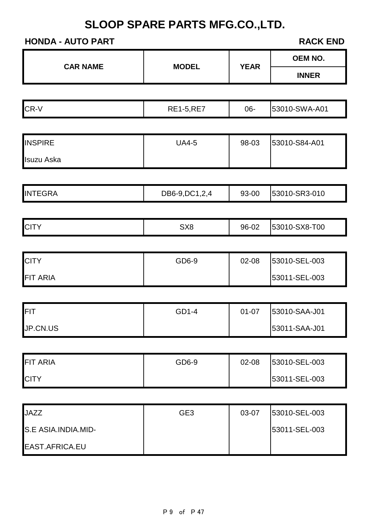## **HONDA - AUTO PART RACK END**

|                     | <b>YEAR</b><br><b>CAR NAME</b><br><b>MODEL</b> |           | <b>OEM NO.</b> |
|---------------------|------------------------------------------------|-----------|----------------|
|                     |                                                |           | <b>INNER</b>   |
|                     |                                                |           |                |
| CR-V                | <b>RE1-5,RE7</b>                               | 06-       | 53010-SWA-A01  |
|                     |                                                |           |                |
| <b>INSPIRE</b>      | <b>UA4-5</b>                                   | 98-03     | 53010-S84-A01  |
| <b>Isuzu Aska</b>   |                                                |           |                |
|                     |                                                |           |                |
| <b>INTEGRA</b>      | DB6-9, DC1, 2, 4                               | 93-00     | 53010-SR3-010  |
|                     |                                                |           |                |
| <b>CITY</b>         | SX <sub>8</sub>                                | 96-02     | 53010-SX8-T00  |
|                     |                                                |           |                |
| <b>CITY</b>         | GD6-9                                          | 02-08     | 53010-SEL-003  |
| <b>FIT ARIA</b>     |                                                |           | 53011-SEL-003  |
|                     |                                                |           |                |
| FIT                 | GD1-4                                          | $01 - 07$ | 53010-SAA-J01  |
| JP.CN.US            |                                                |           | 53011-SAA-J01  |
|                     |                                                |           |                |
| <b>FIT ARIA</b>     | GD6-9                                          | 02-08     | 53010-SEL-003  |
| <b>CITY</b>         |                                                |           | 53011-SEL-003  |
|                     |                                                |           |                |
| <b>JAZZ</b>         | GE <sub>3</sub>                                | 03-07     | 53010-SEL-003  |
| S.E ASIA.INDIA.MID- |                                                |           | 53011-SEL-003  |
| EAST.AFRICA.EU      |                                                |           |                |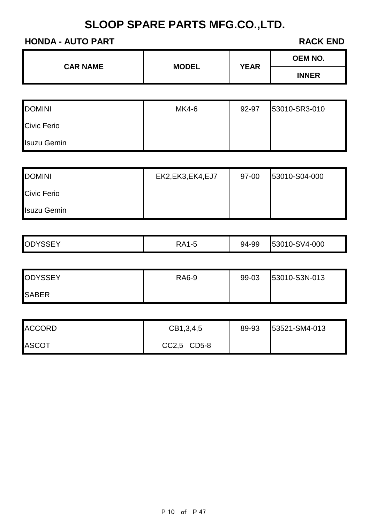**CAR NAME MODEL YEAR**

#### **HONDA - AUTO PART RACK END**

Isuzu Gemin

|                    |                    |       | <b>INNER</b>  |
|--------------------|--------------------|-------|---------------|
|                    |                    |       |               |
| <b>DOMINI</b>      | MK4-6              | 92-97 | 53010-SR3-010 |
| <b>Civic Ferio</b> |                    |       |               |
| <b>Isuzu Gemin</b> |                    |       |               |
|                    |                    |       |               |
| <b>DOMINI</b>      | EK2, EK3, EK4, EJ7 | 97-00 | 53010-S04-000 |
| <b>Civic Ferio</b> |                    |       |               |

| <b>OD</b> | RA1 | 94-99 | 10-SV4-000 |
|-----------|-----|-------|------------|
|           | l-t |       | 1530.      |

| <b>ODYSSEY</b> | <b>RA6-9</b> | 99-03 | 53010-S3N-013 |
|----------------|--------------|-------|---------------|
| <b>SABER</b>   |              |       |               |

| <b>ACCORD</b> | CB1,3,4,5   | 89-93 | 53521-SM4-013 |
|---------------|-------------|-------|---------------|
| <b>ASCOT</b>  | CC2,5 CD5-8 |       |               |

P 10 of P 47

**OEM NO.**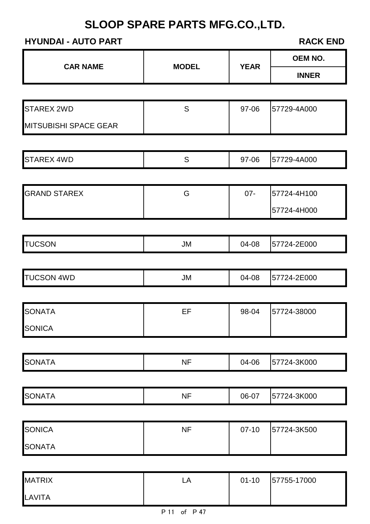## **HYUNDAI - AUTO PART RACK END**

LAVITA

|                              |              |             | <b>OEM NO.</b> |
|------------------------------|--------------|-------------|----------------|
| <b>CAR NAME</b>              | <b>MODEL</b> | <b>YEAR</b> | <b>INNER</b>   |
|                              |              |             |                |
| <b>STAREX 2WD</b>            | S            | 97-06       | 57729-4A000    |
| <b>MITSUBISHI SPACE GEAR</b> |              |             |                |
| <b>STAREX 4WD</b>            | S            | 97-06       | 57729-4A000    |
|                              |              |             |                |
| <b>GRAND STAREX</b>          | G            | $07 -$      | 57724-4H100    |
|                              |              |             | 57724-4H000    |
|                              |              |             |                |
| <b>TUCSON</b>                | <b>JM</b>    | 04-08       | 57724-2E000    |
|                              |              |             |                |
| <b>TUCSON 4WD</b>            | <b>JM</b>    | 04-08       | 57724-2E000    |
| SONATA                       | EF           | 98-04       | 57724-38000    |
| <b>SONICA</b>                |              |             |                |
|                              |              |             |                |
| <b>SONATA</b>                | <b>NF</b>    | 04-06       | 57724-3K000    |
|                              |              |             |                |
| <b>SONATA</b>                | <b>NF</b>    | 06-07       | 57724-3K000    |
| <b>SONICA</b>                | <b>NF</b>    | $07-10$     | 57724-3K500    |
| <b>SONATA</b>                |              |             |                |
|                              |              |             |                |
| <b>MATRIX</b>                | ${\sf LA}$   | $01 - 10$   | 57755-17000    |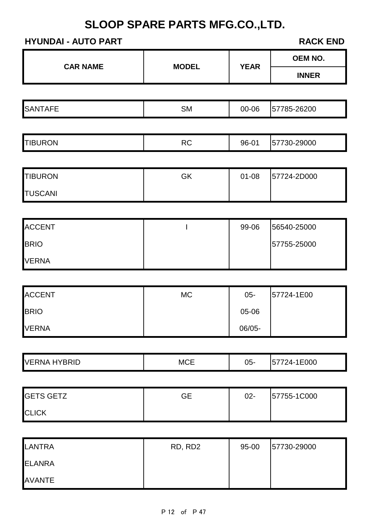## **HYUNDAI - AUTO PART RACK END**

| <b>CAR NAME</b>     |              |             | OEM NO.      |  |
|---------------------|--------------|-------------|--------------|--|
|                     | <b>MODEL</b> | <b>YEAR</b> | <b>INNER</b> |  |
|                     |              |             |              |  |
| <b>SANTAFE</b>      | <b>SM</b>    | 00-06       | 57785-26200  |  |
|                     |              |             |              |  |
| <b>TIBURON</b>      | RC           | 96-01       | 57730-29000  |  |
|                     |              |             |              |  |
| <b>TIBURON</b>      | GK           | $01 - 08$   | 57724-2D000  |  |
| <b>TUSCANI</b>      |              |             |              |  |
|                     |              |             |              |  |
| <b>ACCENT</b>       |              | 99-06       | 56540-25000  |  |
| <b>BRIO</b>         |              |             | 57755-25000  |  |
| <b>VERNA</b>        |              |             |              |  |
|                     |              |             |              |  |
| <b>ACCENT</b>       | <b>MC</b>    | $05 -$      | 57724-1E00   |  |
| <b>BRIO</b>         |              | 05-06       |              |  |
| VERNA               |              | 06/05-      |              |  |
|                     |              |             |              |  |
| <b>VERNA HYBRID</b> | <b>MCE</b>   | $05 -$      | 57724-1E000  |  |
|                     |              |             |              |  |
| <b>GETS GETZ</b>    | <b>GE</b>    | $02 -$      | 57755-1C000  |  |
| <b>CLICK</b>        |              |             |              |  |
|                     |              |             |              |  |
| <b>LANTRA</b>       | RD, RD2      | 95-00       | 57730-29000  |  |
| <b>ELANRA</b>       |              |             |              |  |
| <b>AVANTE</b>       |              |             |              |  |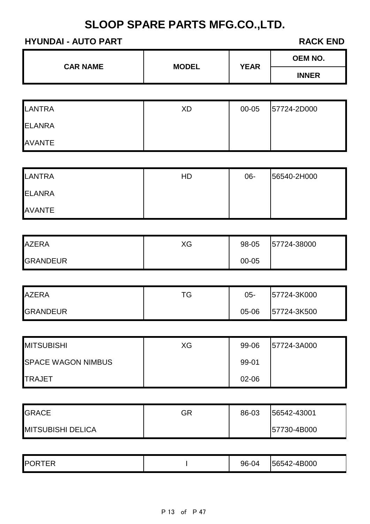## **HYUNDAI - AUTO PART RACK END**

| <b>CAR NAME</b>           |              |             | <b>OEM NO.</b> |  |
|---------------------------|--------------|-------------|----------------|--|
|                           | <b>MODEL</b> | <b>YEAR</b> | <b>INNER</b>   |  |
|                           |              |             |                |  |
| <b>LANTRA</b>             | <b>XD</b>    | 00-05       | 57724-2D000    |  |
| <b>ELANRA</b>             |              |             |                |  |
| <b>AVANTE</b>             |              |             |                |  |
|                           |              |             |                |  |
| <b>LANTRA</b>             | <b>HD</b>    | 06-         | 56540-2H000    |  |
| <b>ELANRA</b>             |              |             |                |  |
| <b>AVANTE</b>             |              |             |                |  |
|                           |              |             |                |  |
| <b>AZERA</b>              | XG           | 98-05       | 57724-38000    |  |
| <b>GRANDEUR</b>           |              | 00-05       |                |  |
|                           |              |             |                |  |
| <b>AZERA</b>              | <b>TG</b>    | $05-$       | 57724-3K000    |  |
| <b>GRANDEUR</b>           |              | 05-06       | 57724-3K500    |  |
|                           |              |             |                |  |
| <b>MITSUBISHI</b>         | XG           | 99-06       | 57724-3A000    |  |
| <b>SPACE WAGON NIMBUS</b> |              | 99-01       |                |  |
| <b>TRAJET</b>             |              | 02-06       |                |  |
|                           |              |             |                |  |
| <b>GRACE</b>              | GR           | 86-03       | 56542-43001    |  |
| <b>MITSUBISHI DELICA</b>  |              |             | 57730-4B000    |  |
|                           |              |             |                |  |

| ---<br>ID | $\sim$<br>96-0<br>ட<br>◡ | 4B000<br>$\overline{ }$<br>⊿ר |
|-----------|--------------------------|-------------------------------|
|-----------|--------------------------|-------------------------------|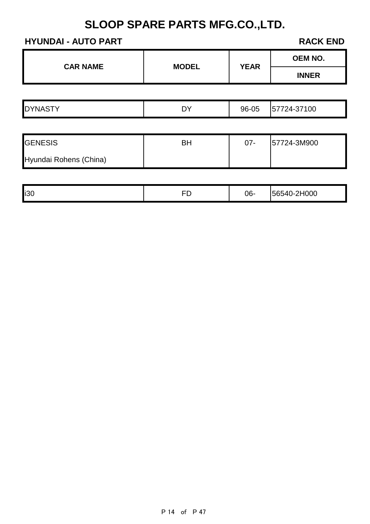## **HYUNDAI - AUTO PART RACK END**

| <b>CAR NAME</b>        |              |             | <b>OEM NO.</b> |
|------------------------|--------------|-------------|----------------|
|                        | <b>MODEL</b> | <b>YEAR</b> | <b>INNER</b>   |
|                        |              |             |                |
| <b>DYNASTY</b>         | <b>DY</b>    | 96-05       | 57724-37100    |
|                        |              |             |                |
| <b>GENESIS</b>         | <b>BH</b>    | $07 -$      | 57724-3M900    |
| Hyundai Rohens (China) |              |             |                |
|                        |              |             |                |
| i30                    | <b>FD</b>    | $06 -$      | 56540-2H000    |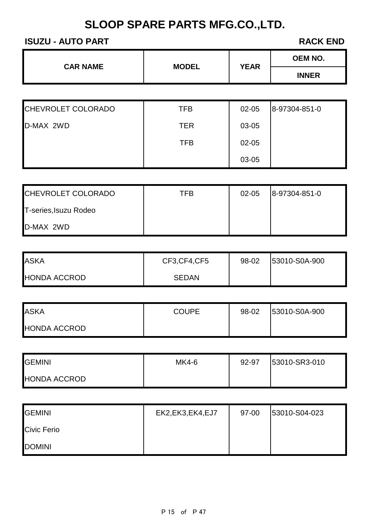#### **ISUZU - AUTO PART RACK END**

| <b>CAR NAME</b><br><b>MODEL</b> |     | <b>YEAR</b> | <b>OEM NO.</b> |
|---------------------------------|-----|-------------|----------------|
|                                 |     |             | <b>INNER</b>   |
|                                 |     |             |                |
| CHEVROLET COLORADO              | TFB | $02 - 05$   | 8-97304-851-0  |

| D-MAX 2WD | <b>TER</b> | 03-05 |  |
|-----------|------------|-------|--|
|           | <b>TFB</b> | 02-05 |  |
|           |            | 03-05 |  |

| CHEVROLET COLORADO    | TFB | $02 - 05$ | 8-97304-851-0 |
|-----------------------|-----|-----------|---------------|
| T-series, Isuzu Rodeo |     |           |               |
| D-MAX 2WD             |     |           |               |

| <b>ASKA</b>         | CF3, CF4, CF5 | 98-02 | 53010-S0A-900 |
|---------------------|---------------|-------|---------------|
| <b>HONDA ACCROD</b> | <b>SEDAN</b>  |       |               |

| <b>ASKA</b>         | <b>COUPE</b> | 98-02 | 53010-S0A-900 |
|---------------------|--------------|-------|---------------|
| <b>HONDA ACCROD</b> |              |       |               |

| <b>GEMINI</b>       | MK4-6 | 92-97 | 53010-SR3-010 |
|---------------------|-------|-------|---------------|
| <b>HONDA ACCROD</b> |       |       |               |

| <b>GEMINI</b>      | EK2, EK3, EK4, EJ7 | 97-00 | 53010-S04-023 |
|--------------------|--------------------|-------|---------------|
| <b>Civic Ferio</b> |                    |       |               |
| <b>DOMINI</b>      |                    |       |               |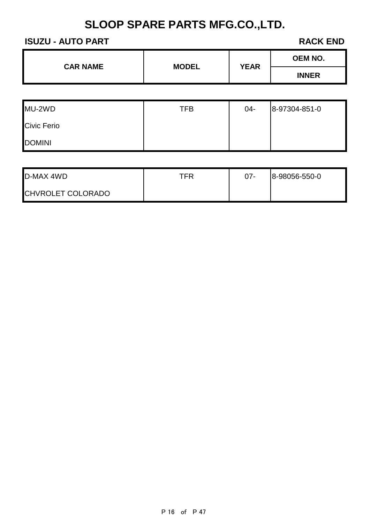#### **ISUZU - AUTO PART RACK END**

| <b>CAR NAME</b> | <b>MODEL</b> | <b>YEAR</b> | <b>OEM NO.</b> |
|-----------------|--------------|-------------|----------------|
|                 |              |             | <b>INNER</b>   |
|                 |              |             |                |

| MU-2WD             | <b>TFB</b> | 04- | 8-97304-851-0 |
|--------------------|------------|-----|---------------|
| <b>Civic Ferio</b> |            |     |               |
| <b>DOMINI</b>      |            |     |               |

T

| D-MAX 4WD                | TFR | $07 -$ | 8-98056-550-0 |
|--------------------------|-----|--------|---------------|
| <b>CHVROLET COLORADO</b> |     |        |               |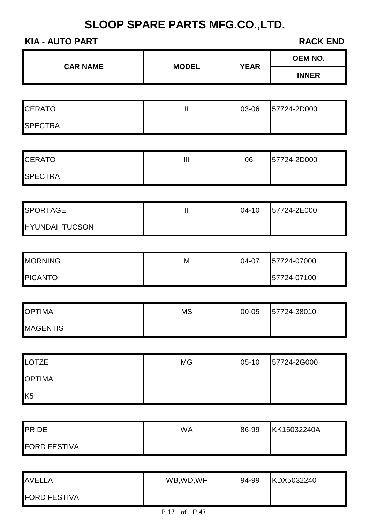#### **KIA - AUTO PART**

| <b>CAR NAME</b>       | <b>MODEL</b>               |             | OEM NO.      |  |
|-----------------------|----------------------------|-------------|--------------|--|
|                       |                            | <b>YEAR</b> | <b>INNER</b> |  |
|                       |                            |             |              |  |
| <b>CERATO</b>         | $\mathbf{  }$              | 03-06       | 57724-2D000  |  |
| <b>SPECTRA</b>        |                            |             |              |  |
|                       |                            |             |              |  |
| <b>CERATO</b>         | $\mathop{\rm III}$         | 06-         | 57724-2D000  |  |
| <b>SPECTRA</b>        |                            |             |              |  |
|                       |                            |             |              |  |
| <b>SPORTAGE</b>       | $\mathop{\rm II}\nolimits$ | $04-10$     | 57724-2E000  |  |
| <b>HYUNDAI TUCSON</b> |                            |             |              |  |
|                       |                            |             |              |  |
| <b>MORNING</b>        | M                          | 04-07       | 57724-07000  |  |
| <b>PICANTO</b>        |                            |             | 57724-07100  |  |
|                       |                            |             |              |  |
| <b>OPTIMA</b>         | <b>MS</b>                  | 00-05       | 57724-38010  |  |
| <b>MAGENTIS</b>       |                            |             |              |  |
|                       |                            |             |              |  |
| <b>LOTZE</b>          | MG                         | $05-10$     | 57724-2G000  |  |
| <b>OPTIMA</b>         |                            |             |              |  |
| K <sub>5</sub>        |                            |             |              |  |
|                       |                            |             |              |  |
| <b>PRIDE</b>          | <b>WA</b>                  | 86-99       | KK15032240A  |  |
| <b>FORD FESTIVA</b>   |                            |             |              |  |
|                       |                            |             |              |  |

| <b>AVELLA</b>       | WB,WD,WF | 94-99 | KDX5032240 |
|---------------------|----------|-------|------------|
| <b>FORD FESTIVA</b> |          |       |            |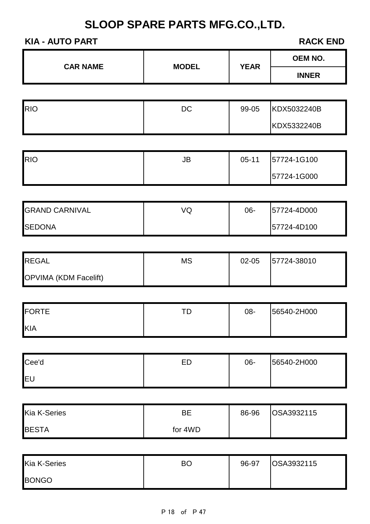#### **KIA - AUTO PART RACK END**

| <b>CAR NAME</b>       |              | <b>YEAR</b> | <b>OEM NO.</b> |  |
|-----------------------|--------------|-------------|----------------|--|
|                       | <b>MODEL</b> |             | <b>INNER</b>   |  |
|                       |              |             |                |  |
| <b>RIO</b>            | DC           | 99-05       | KDX5032240B    |  |
|                       |              |             | KDX5332240B    |  |
|                       |              |             |                |  |
| <b>RIO</b>            | JB           | $05-11$     | 57724-1G100    |  |
|                       |              |             | 57724-1G000    |  |
|                       |              |             |                |  |
| <b>GRAND CARNIVAL</b> | VQ           | 06-         | 57724-4D000    |  |
| <b>SEDONA</b>         |              |             | 57724-4D100    |  |
|                       |              |             |                |  |
| <b>REGAL</b>          | <b>MS</b>    | 02-05       | 57724-38010    |  |
| OPVIMA (KDM Facelift) |              |             |                |  |
|                       |              |             |                |  |
| <b>FORTE</b>          | <b>TD</b>    | 08-         | 56540-2H000    |  |
| KIA                   |              |             |                |  |
|                       |              |             |                |  |
| Cee'd                 | ED           | 06-         | 56540-2H000    |  |
| EU                    |              |             |                |  |
|                       |              |             |                |  |
| Kia K-Series          | <b>BE</b>    | 86-96       | OSA3932115     |  |
| <b>BESTA</b>          | for 4WD      |             |                |  |
|                       |              |             |                |  |
| Kia K-Series          | <b>BO</b>    | 96-97       | OSA3932115     |  |
| <b>BONGO</b>          |              |             |                |  |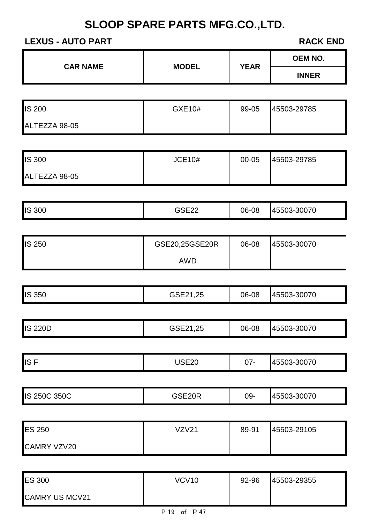## **LEXUS - AUTO PART RACK END**

CAMRY US MCV21

| <b>CAR NAME</b> | <b>MODEL</b>   | <b>YEAR</b>  | <b>OEM NO.</b> |
|-----------------|----------------|--------------|----------------|
|                 |                | <b>INNER</b> |                |
|                 |                |              |                |
| IS 200          | GXE10#         | 99-05        | 45503-29785    |
| ALTEZZA 98-05   |                |              |                |
|                 |                |              |                |
| IS 300          | <b>JCE10#</b>  | 00-05        | 45503-29785    |
| ALTEZZA 98-05   |                |              |                |
|                 |                |              |                |
| IS 300          | <b>GSE22</b>   | 06-08        | 45503-30070    |
|                 |                |              |                |
| IS 250          | GSE20,25GSE20R | 06-08        | 45503-30070    |
|                 | <b>AWD</b>     |              |                |
|                 |                |              |                |
| IS 350          | GSE21,25       | 06-08        | 45503-30070    |
|                 |                |              |                |
| <b>IS 220D</b>  | GSE21,25       | 06-08        | 45503-30070    |
|                 |                |              |                |
| ISF             | <b>USE20</b>   | $07 -$       | 45503-30070    |
|                 |                |              |                |
| IS 250C 350C    | GSE20R         | 09-          | 45503-30070    |
|                 |                |              |                |
| <b>ES 250</b>   | VZV21          | 89-91        | 45503-29105    |
| CAMRY VZV20     |                |              |                |
|                 |                |              |                |
| <b>ES 300</b>   | <b>VCV10</b>   | 92-96        | 45503-29355    |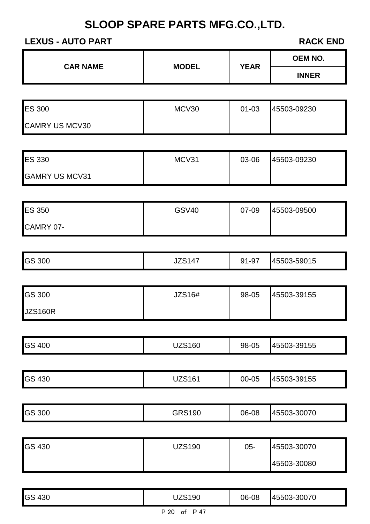## **LEXUS - AUTO PART RACK END**

| <b>CAR NAME</b>       | <b>MODEL</b>  | <b>YEAR</b> | <b>OEM NO.</b> |  |
|-----------------------|---------------|-------------|----------------|--|
|                       |               |             | <b>INNER</b>   |  |
|                       |               |             |                |  |
| <b>ES 300</b>         | MCV30         | $01 - 03$   | 45503-09230    |  |
| <b>CAMRY US MCV30</b> |               |             |                |  |
|                       |               |             |                |  |
| <b>ES 330</b>         | MCV31         | 03-06       | 45503-09230    |  |
| <b>GAMRY US MCV31</b> |               |             |                |  |
|                       |               |             |                |  |
| <b>ES 350</b>         | <b>GSV40</b>  | 07-09       | 45503-09500    |  |
| CAMRY 07-             |               |             |                |  |
|                       |               |             |                |  |
| <b>GS 300</b>         | <b>JZS147</b> | 91-97       | 45503-59015    |  |
|                       |               |             |                |  |
| <b>GS 300</b>         | JZS16#        | 98-05       | 45503-39155    |  |
| <b>JZS160R</b>        |               |             |                |  |
|                       |               |             |                |  |
| <b>GS 400</b>         | <b>UZS160</b> | 98-05       | 45503-39155    |  |
|                       |               |             |                |  |
| <b>GS 430</b>         | <b>UZS161</b> | 00-05       | 45503-39155    |  |
|                       |               |             |                |  |
| GS 300                | <b>GRS190</b> | 06-08       | 45503-30070    |  |
|                       |               |             |                |  |
| <b>GS 430</b>         | <b>UZS190</b> | $05 -$      | 45503-30070    |  |
|                       |               |             | 45503-30080    |  |

| <b>GS 430</b> | <b>JZS190</b>      | 06-08 | 45503-30070 |
|---------------|--------------------|-------|-------------|
|               | P 47<br>P 20<br>of |       |             |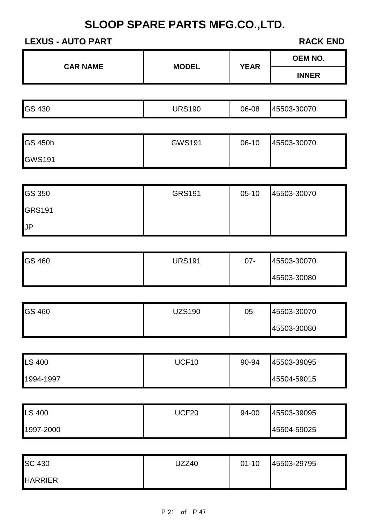## **LEXUS - AUTO PART RACK END**

| <b>CAR NAME</b> | <b>MODEL</b> | <b>YEAR</b> | <b>OEM NO.</b> |
|-----------------|--------------|-------------|----------------|
|                 |              |             | <b>INNER</b>   |

| <b>GS 430</b><br><b>JRS190</b><br>45503-30070<br>06-08<br>טרוס |
|----------------------------------------------------------------|
|----------------------------------------------------------------|

| <b>GS 450h</b> | <b>GWS191</b> | 06-10 | 45503-30070 |
|----------------|---------------|-------|-------------|
| <b>GWS191</b>  |               |       |             |

| <b>GS 350</b> | <b>GRS191</b> | $05-10$ | 45503-30070 |
|---------------|---------------|---------|-------------|
| <b>GRS191</b> |               |         |             |
| $\mathsf{U}$  |               |         |             |

| <b>GS 460</b> | <b>JRS191</b> | $07 -$ | 45503-30070 |
|---------------|---------------|--------|-------------|
|               |               |        | 45503-30080 |

| <b>GS 460</b> | <b>JZS190</b> | $05 -$ | 45503-30070 |
|---------------|---------------|--------|-------------|
|               |               |        | 45503-30080 |

| <b>LS 400</b> | UCF10 | 90-94 | 45503-39095 |
|---------------|-------|-------|-------------|
| 1994-1997     |       |       | 45504-59015 |

| <b>LS 400</b> | UCF20 | 94-00 | 45503-39095 |
|---------------|-------|-------|-------------|
| 1997-2000     |       |       | 45504-59025 |

| <b>SC 430</b>  | UZZ40 | $01 - 10$ | 45503-29795 |
|----------------|-------|-----------|-------------|
| <b>HARRIER</b> |       |           |             |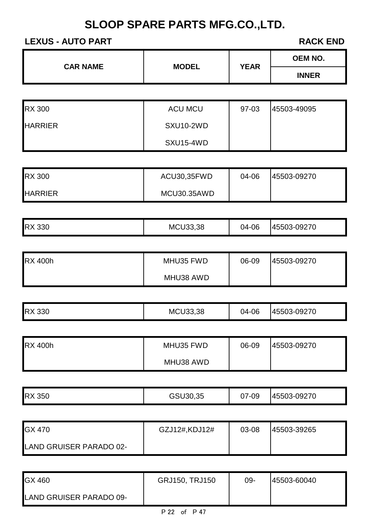## **LEXUS - AUTO PART RACK END**

| <b>CAR NAME</b> | <b>MODEL</b> | <b>YEAR</b> | <b>OEM NO.</b> |
|-----------------|--------------|-------------|----------------|
|                 |              |             | <b>INNER</b>   |

| <b>RX 300</b>  | <b>ACU MCU</b> | 97-03 | 45503-49095 |
|----------------|----------------|-------|-------------|
| <b>HARRIER</b> | SXU10-2WD      |       |             |
|                | SXU15-4WD      |       |             |

| <b>RX 300</b>  | ACU30,35FWD | 04-06 | 45503-09270 |
|----------------|-------------|-------|-------------|
| <b>HARRIER</b> | MCU30.35AWD |       |             |

| <b>RX 330</b> | <b>MCU33,38</b> | 04-06 | 45503-09270 |
|---------------|-----------------|-------|-------------|
|---------------|-----------------|-------|-------------|

| <b>RX 400h</b> | MHU35 FWD | 06-09 | 45503-09270 |
|----------------|-----------|-------|-------------|
|                | MHU38 AWD |       |             |

| <b>RX 330</b> | <b>MCU33,38</b> | 04-06 | 45503-09270 |
|---------------|-----------------|-------|-------------|
|---------------|-----------------|-------|-------------|

| <b>RX 400h</b> | MHU35 FWD | 06-09 | 45503-09270 |
|----------------|-----------|-------|-------------|
|                | MHU38 AWD |       |             |

| <b>IRX</b><br>350 | ิงค<br>ا ڪت<br>ືບບ | 7-09<br>v, | 09270<br>- 14550a<br>$1 - 1$ |
|-------------------|--------------------|------------|------------------------------|

| <b>GX 470</b>           | GZJ12#,KDJ12# | 03-08 | 145503-39265 |
|-------------------------|---------------|-------|--------------|
| LAND GRUISER PARADO 02- |               |       |              |

| <b>GX460</b>            | <b>GRJ150, TRJ150</b> | 09- | 45503-60040 |
|-------------------------|-----------------------|-----|-------------|
| LAND GRUISER PARADO 09- |                       |     |             |
|                         |                       |     |             |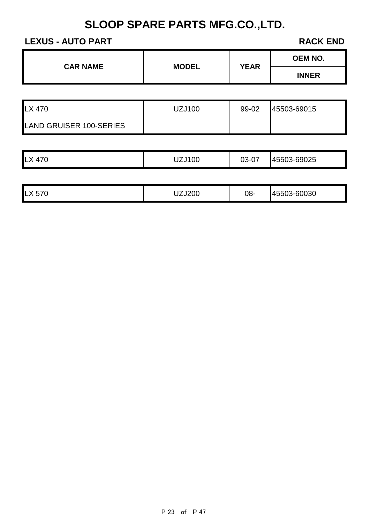### **LEXUS - AUTO PART RACK END**

 $\blacksquare$ 

| <b>CAR NAME</b> | <b>MODEL</b> | <b>YEAR</b> | <b>OEM NO.</b> |
|-----------------|--------------|-------------|----------------|
|                 |              |             | <b>INNER</b>   |
|                 |              |             |                |

| LX 470                         | UZJ100 | 99-02 | 45503-69015 |
|--------------------------------|--------|-------|-------------|
| <b>LAND GRUISER 100-SERIES</b> |        |       |             |

| <b>ILX</b><br>$\rightarrow$<br>∸<br>1 U | UZJ100 | $\sim$<br>ົ<br>≺-'<br>ֿ ש<br>UJ | 45503-69025 |
|-----------------------------------------|--------|---------------------------------|-------------|
|-----------------------------------------|--------|---------------------------------|-------------|

| $L \times$<br>$- - -$<br>J I U | $\overline{ }$<br>ZJ200 | 08- | 3-60030<br>. 14000. |
|--------------------------------|-------------------------|-----|---------------------|
|--------------------------------|-------------------------|-----|---------------------|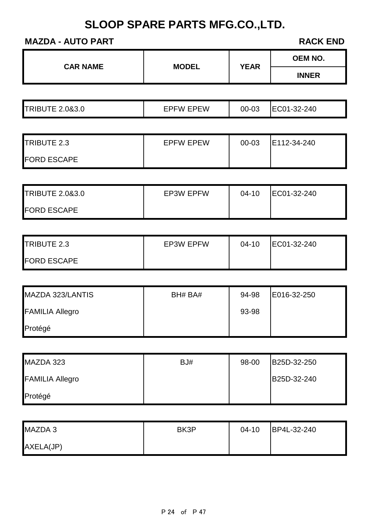## **MAZDA - AUTO PART RACK END**

| <b>CAR NAME</b>            |                  | <b>YEAR</b> | <b>OEM NO.</b> |
|----------------------------|------------------|-------------|----------------|
|                            | <b>MODEL</b>     |             | <b>INNER</b>   |
|                            |                  |             |                |
| <b>TRIBUTE 2.0&amp;3.0</b> | <b>EPFW EPEW</b> | 00-03       | EC01-32-240    |
|                            |                  |             |                |
| TRIBUTE 2.3                | <b>EPFW EPEW</b> | 00-03       | E112-34-240    |
| <b>FORD ESCAPE</b>         |                  |             |                |
|                            |                  |             |                |
| <b>TRIBUTE 2.0&amp;3.0</b> | <b>EP3W EPFW</b> | $04 - 10$   | EC01-32-240    |
| <b>FORD ESCAPE</b>         |                  |             |                |
|                            |                  |             |                |
| TRIBUTE 2.3                | <b>EP3W EPFW</b> | $04 - 10$   | EC01-32-240    |
| <b>FORD ESCAPE</b>         |                  |             |                |
|                            |                  |             |                |
| MAZDA 323/LANTIS           | BH# BA#          | 94-98       | E016-32-250    |
| <b>FAMILIA Allegro</b>     |                  | 93-98       |                |
| Protégé                    |                  |             |                |
|                            |                  |             |                |
| MAZDA 323                  | BJ#              | 98-00       | B25D-32-250    |
| <b>FAMILIA Allegro</b>     |                  |             | B25D-32-240    |
| Protégé                    |                  |             |                |
|                            |                  |             |                |
| MAZDA 3                    | BK3P             | $04 - 10$   | BP4L-32-240    |

| MAZDA 3   | BK3P | $04 - 10$ | BP4L-32-240 |
|-----------|------|-----------|-------------|
| AXELA(JP) |      |           |             |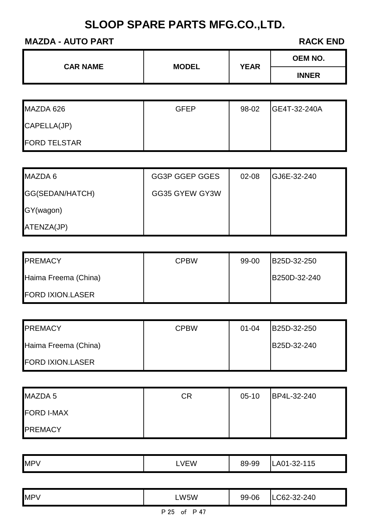## **MAZDA - AUTO PART RACK END**

| <b>CAR NAME</b> | <b>MODEL</b> | <b>YEAR</b> | <b>OEM NO.</b> |
|-----------------|--------------|-------------|----------------|
|                 |              |             | <b>INNER</b>   |

| MAZDA 626           | <b>GFEP</b> | 98-02 | GE4T-32-240A |
|---------------------|-------------|-------|--------------|
| CAPELLA(JP)         |             |       |              |
| <b>FORD TELSTAR</b> |             |       |              |

| MAZDA 6         | GG3P GGEP GGES | $02 - 08$ | GJ6E-32-240 |
|-----------------|----------------|-----------|-------------|
| GG(SEDAN/HATCH) | GG35 GYEW GY3W |           |             |
| GY(wagon)       |                |           |             |
| ATENZA(JP)      |                |           |             |

| <b>IPREMACY</b>         | <b>CPBW</b> | 99-00 | B25D-32-250  |
|-------------------------|-------------|-------|--------------|
| Haima Freema (China)    |             |       | B250D-32-240 |
| <b>FORD IXION.LASER</b> |             |       |              |

| <b>PREMACY</b>          | <b>CPBW</b> | $01 - 04$ | B25D-32-250 |
|-------------------------|-------------|-----------|-------------|
| Haima Freema (China)    |             |           | B25D-32-240 |
| <b>FORD IXION.LASER</b> |             |           |             |

| MAZDA 5           | CR | $05-10$ | BP4L-32-240 |
|-------------------|----|---------|-------------|
| <b>FORD I-MAX</b> |    |         |             |
| <b>PREMACY</b>    |    |         |             |

|--|

| <b>MPV</b> | LW5W                                | 99-06 | LC62-32-240 |
|------------|-------------------------------------|-------|-------------|
|            | $\sim$ $\sim$ $\sim$ $\sim$<br>D OF |       |             |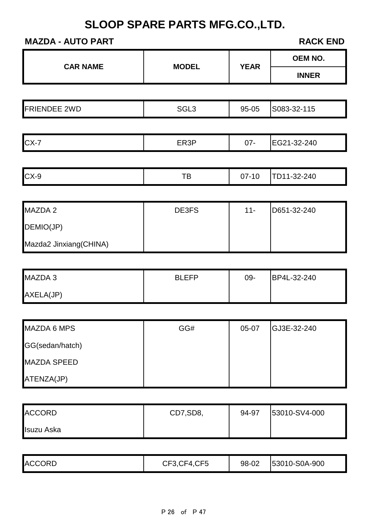## **MAZDA - AUTO PART**

| <b>CAR NAME</b>        | <b>MODEL</b>     | <b>YEAR</b> | OEM NO.       |
|------------------------|------------------|-------------|---------------|
|                        |                  |             | <b>INNER</b>  |
|                        |                  |             |               |
| <b>FRIENDEE 2WD</b>    | SGL <sub>3</sub> | 95-05       | S083-32-115   |
|                        |                  |             |               |
| $CX-7$                 | ER3P             | $07 -$      | EG21-32-240   |
|                        |                  |             |               |
| $CX-9$                 | TB               | $07-10$     | TD11-32-240   |
|                        |                  |             |               |
| MAZDA 2                | DE3FS            | $11 -$      | D651-32-240   |
| DEMIO(JP)              |                  |             |               |
| Mazda2 Jinxiang(CHINA) |                  |             |               |
|                        |                  |             |               |
| MAZDA 3                | <b>BLEFP</b>     | $09 -$      | BP4L-32-240   |
| AXELA(JP)              |                  |             |               |
| <b>MAZDA 6 MPS</b>     | GG#              | 05-07       | GJ3E-32-240   |
| GG(sedan/hatch)        |                  |             |               |
| <b>MAZDA SPEED</b>     |                  |             |               |
| ATENZA(JP)             |                  |             |               |
|                        |                  |             |               |
| <b>ACCORD</b>          | CD7,SD8,         | 94-97       | 53010-SV4-000 |
| <b>Isuzu Aska</b>      |                  |             |               |

|  | <b>ACCORD</b> | CF5,<br>CF3,0<br>ا 11–1. | 98-02 | 53010-S0A-900 |
|--|---------------|--------------------------|-------|---------------|
|--|---------------|--------------------------|-------|---------------|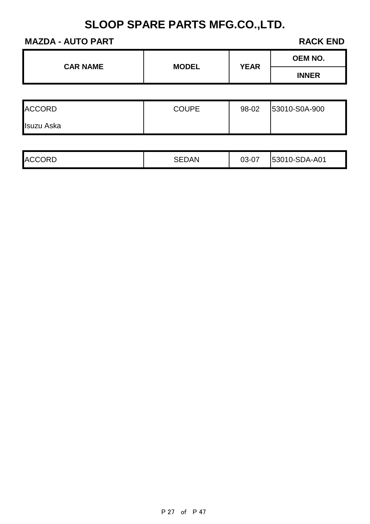## **MAZDA - AUTO PART RACK END**

| <b>CAR NAME</b> | <b>MODEL</b> | <b>YEAR</b> | <b>OEM NO.</b> |
|-----------------|--------------|-------------|----------------|
|                 |              |             | <b>INNER</b>   |

| <b>ACCORD</b> | <b>COUPE</b> | 98-02 | 53010-S0A-900 |
|---------------|--------------|-------|---------------|
| Isuzu Aska    |              |       |               |

| <b>ACCORD</b> | SEDAN | 03-07 | 53010-SDA-A01 |
|---------------|-------|-------|---------------|
|---------------|-------|-------|---------------|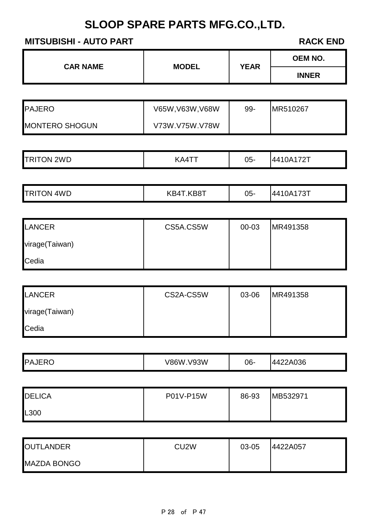## **MITSUBISHI - AUTO PART RACK END**

| <b>CAR NAME</b>       |                  |             | OEM NO.      |
|-----------------------|------------------|-------------|--------------|
|                       | <b>MODEL</b>     | <b>YEAR</b> | <b>INNER</b> |
|                       |                  |             |              |
| <b>PAJERO</b>         | V65W, V63W, V68W | 99-         | MR510267     |
| <b>MONTERO SHOGUN</b> | V73W.V75W.V78W   |             |              |
|                       |                  |             |              |
| <b>TRITON 2WD</b>     | KA4TT            | $05 -$      | 4410A172T    |
|                       |                  |             |              |
| <b>TRITON 4WD</b>     | KB4T.KB8T        | $05 -$      | 4410A173T    |
|                       |                  |             |              |
| <b>LANCER</b>         | CS5A.CS5W        | 00-03       | MR491358     |
| virage(Taiwan)        |                  |             |              |

| $\blacksquare$ vii ay $\sigma$ († alwali) |  |  |
|-------------------------------------------|--|--|
| Cedia                                     |  |  |
|                                           |  |  |

| LANCER         | CS2A-CS5W | 03-06 | MR491358 |
|----------------|-----------|-------|----------|
| virage(Taiwan) |           |       |          |
| Cedia          |           |       |          |

|  | <b>IPA</b> | <b>J</b> 3W<br>'RGW | 06- | $\sim$<br>, ,<br>NU JO |
|--|------------|---------------------|-----|------------------------|
|--|------------|---------------------|-----|------------------------|

| <b>DELICA</b> | P01V-P15W | 86-93 | MB532971 |
|---------------|-----------|-------|----------|
| L300          |           |       |          |

| <b>OUTLANDER</b>   | CU <sub>2</sub> W | 03-05 | 4422A057 |
|--------------------|-------------------|-------|----------|
| <b>MAZDA BONGO</b> |                   |       |          |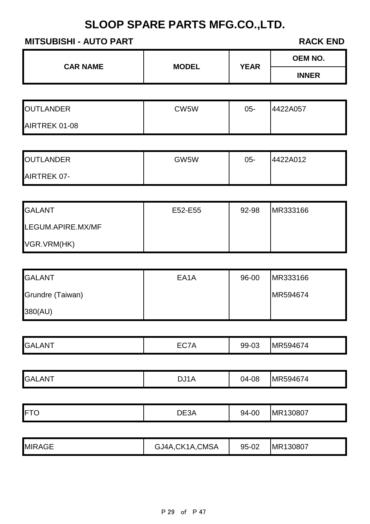| <b>MITSUBISHI - AUTO PART</b> |              | <b>RACK END</b> |  |
|-------------------------------|--------------|-----------------|--|
|                               |              | <b>OEM NO.</b>  |  |
| <b>CAR NAME</b>               | <b>INNER</b> |                 |  |
|                               |              |                 |  |
| CW5W                          | $05-$        | 4422A057        |  |
|                               |              |                 |  |
|                               |              |                 |  |
| GW5W                          | $05 -$       | 4422A012        |  |
|                               |              |                 |  |
|                               |              |                 |  |
| E52-E55                       | 92-98        | MR333166        |  |
|                               |              |                 |  |
|                               |              |                 |  |
|                               |              |                 |  |
| EA <sub>1</sub> A             | 96-00        | MR333166        |  |
|                               |              | MR594674        |  |
|                               |              |                 |  |
|                               |              |                 |  |
| EC7A                          | 99-03        | MR594674        |  |
|                               |              |                 |  |
| DJ1A                          | 04-08        | MR594674        |  |
|                               |              |                 |  |
| DE3A                          | 94-00        | MR130807        |  |
|                               | <b>MODEL</b> | <b>YEAR</b>     |  |

| <b>MIRAGE</b> | <b>CMSA</b><br>$\Sigma$ K1<br>A<br>.J4A | 95-02 | IMR130807 |
|---------------|-----------------------------------------|-------|-----------|
|---------------|-----------------------------------------|-------|-----------|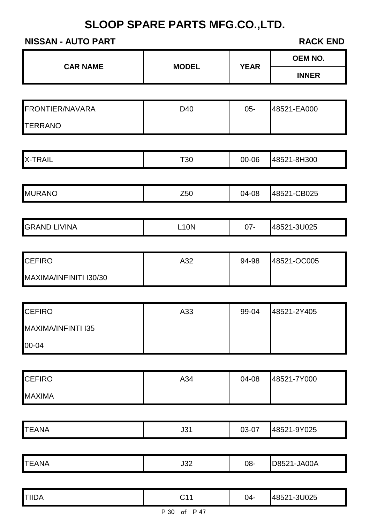#### **NISSAN - AUTO PART RACK END**

| <b>CAR NAME</b>        | <b>MODEL</b> | <b>YEAR</b> | <b>OEM NO.</b> |
|------------------------|--------------|-------------|----------------|
|                        |              |             | <b>INNER</b>   |
|                        |              |             |                |
| FRONTIER/NAVARA        | D40          | $05 -$      | 48521-EA000    |
| <b>TERRANO</b>         |              |             |                |
| <b>X-TRAIL</b>         | T30          | 00-06       | 48521-8H300    |
|                        |              |             |                |
| <b>MURANO</b>          | Z50          | 04-08       | 48521-CB025    |
| <b>GRAND LIVINA</b>    | <b>L10N</b>  | $07 -$      | 48521-3U025    |
|                        |              |             |                |
| <b>CEFIRO</b>          | A32          | 94-98       | 48521-OC005    |
| MAXIMA/INFINITI I30/30 |              |             |                |
| <b>CEFIRO</b>          | A33          | 99-04       | 48521-2Y405    |
| MAXIMA/INFINTI I35     |              |             |                |
| 00-04                  |              |             |                |
| <b>CEFIRO</b>          | A34          | 04-08       | 48521-7Y000    |
| <b>MAXIMA</b>          |              |             |                |
|                        |              |             |                |
| <b>TEANA</b>           | J31          | 03-07       | 48521-9Y025    |
| <b>TEANA</b>           | J32          | 08-         | D8521-JA00A    |
|                        |              |             |                |
| <b>TIIDA</b>           | C11          | $04 -$      | 48521-3U025    |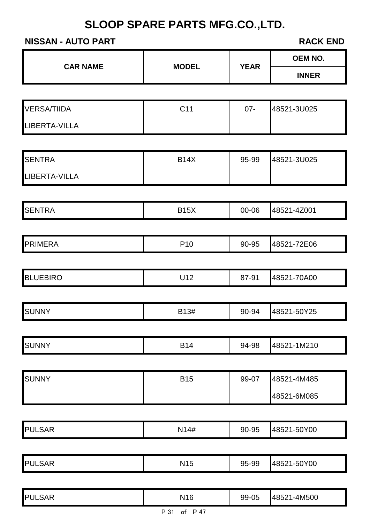## **NISSAN - AUTO PART RACK END**

|                      |                 |             | <b>OEM NO.</b> |  |
|----------------------|-----------------|-------------|----------------|--|
| <b>CAR NAME</b>      | <b>MODEL</b>    | <b>YEAR</b> | <b>INNER</b>   |  |
|                      |                 |             |                |  |
| <b>VERSA/TIIDA</b>   | C11             | $07 -$      | 48521-3U025    |  |
| <b>LIBERTA-VILLA</b> |                 |             |                |  |
|                      |                 |             |                |  |
| <b>SENTRA</b>        | <b>B14X</b>     | 95-99       | 48521-3U025    |  |
| <b>LIBERTA-VILLA</b> |                 |             |                |  |
|                      |                 |             |                |  |
| <b>SENTRA</b>        | <b>B15X</b>     | 00-06       | 48521-4Z001    |  |
|                      |                 |             |                |  |
| <b>PRIMERA</b>       | P <sub>10</sub> | 90-95       | 48521-72E06    |  |
|                      |                 |             |                |  |
| <b>BLUEBIRO</b>      | U12             | 87-91       | 48521-70A00    |  |
|                      |                 |             |                |  |
| <b>SUNNY</b>         | B13#            | 90-94       | 48521-50Y25    |  |
|                      |                 |             |                |  |
| <b>SUNNY</b>         | <b>B14</b>      | 94-98       | 48521-1M210    |  |
|                      |                 |             |                |  |
| <b>SUNNY</b>         | <b>B15</b>      | 99-07       | 48521-4M485    |  |
|                      |                 |             | 48521-6M085    |  |
|                      |                 |             |                |  |
| <b>PULSAR</b>        | N14#            | 90-95       | 48521-50Y00    |  |
|                      |                 |             |                |  |
| <b>PULSAR</b>        | <b>N15</b>      | 95-99       | 48521-50Y00    |  |
|                      |                 |             |                |  |
| <b>PULSAR</b>        | N <sub>16</sub> | 99-05       | 48521-4M500    |  |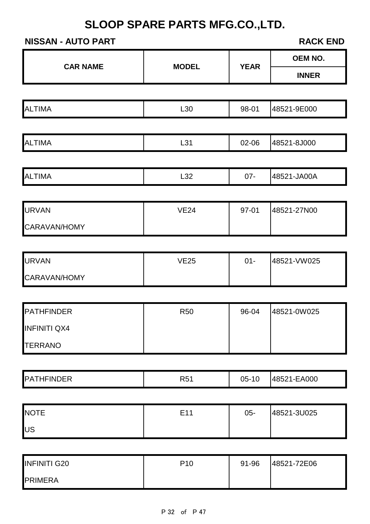#### **NISSAN - AUTO PART RACK END**

|                     |                 |             | OEM NO.      |
|---------------------|-----------------|-------------|--------------|
| <b>CAR NAME</b>     | <b>MODEL</b>    | <b>YEAR</b> | <b>INNER</b> |
|                     |                 |             |              |
| <b>ALTIMA</b>       | L30             | 98-01       | 48521-9E000  |
|                     |                 |             |              |
| <b>ALTIMA</b>       | L31             | 02-06       | 48521-8J000  |
|                     |                 |             |              |
| <b>ALTIMA</b>       | L32             | $07 -$      | 48521-JA00A  |
|                     |                 |             |              |
| <b>URVAN</b>        | <b>VE24</b>     | 97-01       | 48521-27N00  |
| CARAVAN/HOMY        |                 |             |              |
|                     |                 |             |              |
| <b>URVAN</b>        | <b>VE25</b>     | $01 -$      | 48521-VW025  |
| CARAVAN/HOMY        |                 |             |              |
|                     |                 |             |              |
| <b>PATHFINDER</b>   | <b>R50</b>      | 96-04       | 48521-0W025  |
| <b>INFINITI QX4</b> |                 |             |              |
| <b>TERRANO</b>      |                 |             |              |
|                     |                 |             |              |
| <b>PATHFINDER</b>   | <b>R51</b>      | $05-10$     | 48521-EA000  |
|                     |                 |             |              |
| <b>NOTE</b>         | E11             | $05-$       | 48521-3U025  |
| US                  |                 |             |              |
|                     |                 |             |              |
| <b>INFINITI G20</b> | P <sub>10</sub> | 91-96       | 48521-72E06  |
| <b>PRIMERA</b>      |                 |             |              |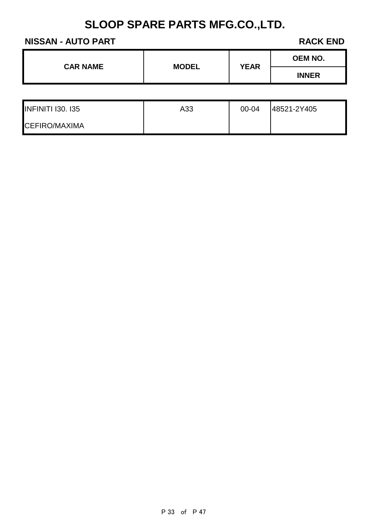#### **NISSAN - AUTO PART RACK END**

**OEM NO.**

| <b>INFINITI 130. 135</b> | A33 | $00 - 04$ | 48521-2Y405 |
|--------------------------|-----|-----------|-------------|
| <b>CEFIRO/MAXIMA</b>     |     |           |             |

**CAR NAME MODEL YEAR**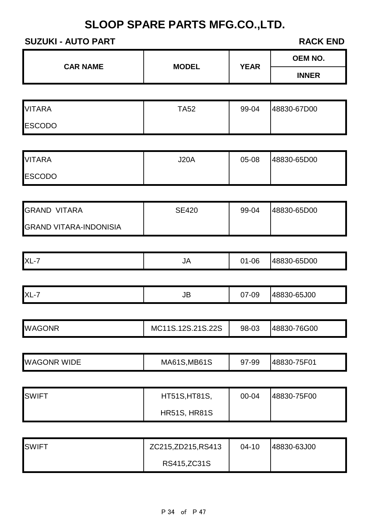#### **SUZUKI - AUTO PART RACK END**

|                               |                     |             | <b>OEM NO.</b> |
|-------------------------------|---------------------|-------------|----------------|
| <b>CAR NAME</b>               | <b>MODEL</b>        | <b>YEAR</b> | <b>INNER</b>   |
|                               |                     |             |                |
| <b>VITARA</b>                 | <b>TA52</b>         | 99-04       | 48830-67D00    |
| <b>ESCODO</b>                 |                     |             |                |
|                               |                     |             |                |
| <b>VITARA</b>                 | <b>J20A</b>         | 05-08       | 48830-65D00    |
| <b>ESCODO</b>                 |                     |             |                |
|                               |                     |             |                |
| <b>GRAND VITARA</b>           | <b>SE420</b>        | 99-04       | 48830-65D00    |
| <b>GRAND VITARA-INDONISIA</b> |                     |             |                |
|                               |                     |             |                |
| $XL-7$                        | <b>JA</b>           | $01 - 06$   | 48830-65D00    |
|                               |                     |             |                |
| $XL-7$                        | JB                  | 07-09       | 48830-65J00    |
|                               |                     |             |                |
| <b>WAGONR</b>                 | MC11S.12S.21S.22S   | 98-03       | 48830-76G00    |
|                               |                     |             |                |
| <b>WAGONR WIDE</b>            | <b>MA61S, MB61S</b> | 97-99       | 48830-75F01    |

| <b>SWIFT</b> | <b>HT51S, HT81S,</b> | 00-04 | 48830-75F00 |
|--------------|----------------------|-------|-------------|
|              | <b>HR51S, HR81S</b>  |       |             |

| <b>SWIFT</b> | ZC215, ZD215, RS413 | $04 - 10$ | 48830-63J00 |
|--------------|---------------------|-----------|-------------|
|              | RS415, ZC31S        |           |             |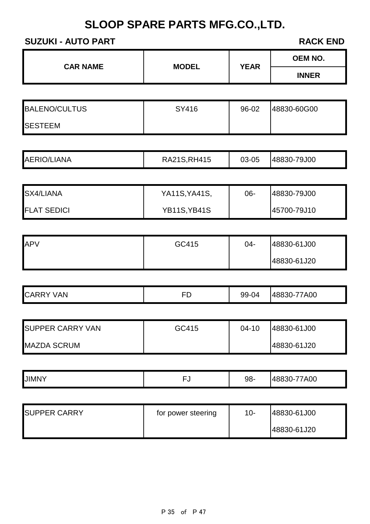## **SUZUKI - AUTO PART RACK END**

|                     |                                    | <b>OEM NO.</b>       |
|---------------------|------------------------------------|----------------------|
|                     |                                    | <b>INNER</b>         |
|                     |                                    |                      |
| SY416               | 96-02                              | 48830-60G00          |
|                     |                                    |                      |
|                     |                                    |                      |
| RA21S, RH415        | 03-05                              | 48830-79J00          |
|                     |                                    |                      |
| YA11S, YA41S,       | 06-                                | 48830-79J00          |
| <b>YB11S, YB41S</b> |                                    | 45700-79J10          |
|                     |                                    |                      |
| GC415               | $04 -$                             | 48830-61J00          |
|                     |                                    | 48830-61J20          |
|                     |                                    |                      |
| <b>FD</b>           | 99-04                              | 48830-77A00          |
|                     |                                    |                      |
| GC415               | $04-10$                            | 48830-61J00          |
|                     |                                    | 48830-61J20          |
|                     |                                    |                      |
| <b>FJ</b>           | 98-                                | 48830-77A00          |
|                     |                                    | 48830-61J00          |
|                     |                                    |                      |
|                     | <b>MODEL</b><br>for power steering | <b>YEAR</b><br>$10-$ |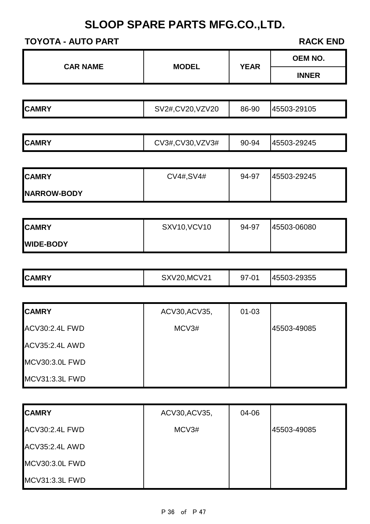## **TOYOTA - AUTO PART RACK END**

ACV35:2.4L AWD

MCV30:3.0L FWD

MCV31:3.3L FWD

| IUIUIA - AUIU FARI    |                     |             | RAYN END       |
|-----------------------|---------------------|-------------|----------------|
| <b>CAR NAME</b>       | <b>MODEL</b>        | <b>YEAR</b> | <b>OEM NO.</b> |
|                       |                     |             | <b>INNER</b>   |
|                       |                     |             |                |
| <b>CAMRY</b>          | SV2#, CV20, VZV20   | 86-90       | 45503-29105    |
|                       |                     |             |                |
| <b>CAMRY</b>          | CV3#, CV30, VZV3#   | 90-94       | 45503-29245    |
|                       |                     |             |                |
| <b>CAMRY</b>          | CV4#, SV4#          | 94-97       | 45503-29245    |
| NARROW-BODY           |                     |             |                |
|                       |                     |             |                |
| <b>CAMRY</b>          | <b>SXV10, VCV10</b> | 94-97       | 45503-06080    |
| <b>WIDE-BODY</b>      |                     |             |                |
| <b>CAMRY</b>          | <b>SXV20, MCV21</b> | 97-01       | 45503-29355    |
| <b>CAMRY</b>          | ACV30, ACV35,       | $01 - 03$   |                |
| <b>ACV30:2.4L FWD</b> | MCV3#               |             | 45503-49085    |
| ACV35:2.4L AWD        |                     |             |                |
| <b>MCV30:3.0L FWD</b> |                     |             |                |
| <b>MCV31:3.3L FWD</b> |                     |             |                |
|                       |                     |             |                |
| <b>CAMRY</b>          | ACV30, ACV35,       | 04-06       |                |
| <b>ACV30:2.4L FWD</b> | MCV3#               |             | 45503-49085    |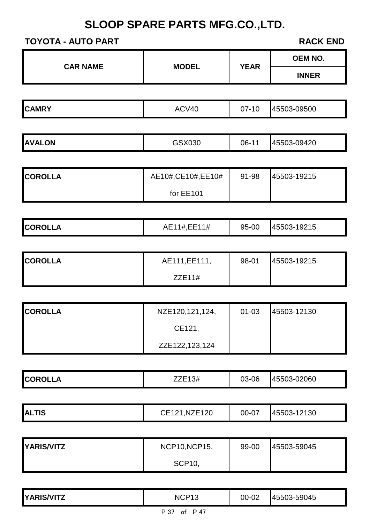| <b>TOYOTA - AUTO PART</b> |                     |             | <b>RACK END</b> |
|---------------------------|---------------------|-------------|-----------------|
| <b>CAR NAME</b>           | <b>MODEL</b>        | <b>YEAR</b> | <b>OEM NO.</b>  |
|                           |                     |             | <b>INNER</b>    |
|                           |                     |             |                 |
| <b>CAMRY</b>              | ACV40               | $07 - 10$   | 45503-09500     |
|                           |                     |             |                 |
| <b>AVALON</b>             | GSX030              | 06-11       | 45503-09420     |
|                           |                     |             |                 |
| <b>COROLLA</b>            | AE10#, CE10#, EE10# | 91-98       | 45503-19215     |
|                           | for EE101           |             |                 |
|                           |                     |             |                 |
| <b>COROLLA</b>            | AE11#, EE11#        | 95-00       | 45503-19215     |
|                           |                     |             |                 |
| <b>COROLLA</b>            | AE111, EE111,       | 98-01       | 45503-19215     |
|                           | ZZE11#              |             |                 |
|                           |                     |             |                 |
|                           |                     |             |                 |

| <b>COROLLA</b> | NZE120,121,124, | $01 - 03$ | 45503-12130 |
|----------------|-----------------|-----------|-------------|
|                | CE121.          |           |             |
|                | ZZE122,123,124  |           |             |

|  | <b>COROLLA</b> | $\sim$<br>#3⊩<br>-- | 03-06 | 02060<br>≺−เ<br>. 4000. |
|--|----------------|---------------------|-------|-------------------------|
|--|----------------|---------------------|-------|-------------------------|

|  | <b>ALTIS</b> | CE121, NZE120 | 00-07 | 45503-12130 |
|--|--------------|---------------|-------|-------------|
|--|--------------|---------------|-------|-------------|

| YARIS/VITZ | <b>NCP10, NCP15,</b> | 99-00 | 145503-59045 |
|------------|----------------------|-------|--------------|
|            | <b>SCP10,</b>        |       |              |

| <b>YARIS/VITZ</b> | NCP <sub>1</sub> <sup>-</sup><br>ี∼ו | 00-02 | 45503-59045 |
|-------------------|--------------------------------------|-------|-------------|
|                   | דגים<br>D 17<br>∩+                   |       |             |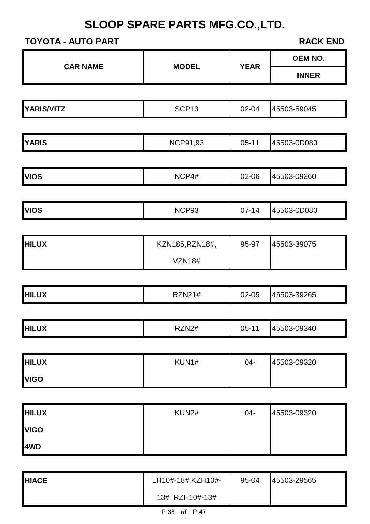| <b>CAR NAME</b>             | <b>MODEL</b>      | <b>YEAR</b> | OEM NO.      |
|-----------------------------|-------------------|-------------|--------------|
|                             |                   |             | <b>INNER</b> |
|                             |                   |             |              |
| <b>YARIS/VITZ</b>           | SCP <sub>13</sub> | 02-04       | 45503-59045  |
|                             |                   |             |              |
| <b>YARIS</b>                | <b>NCP91,93</b>   | $05 - 11$   | 45503-0D080  |
|                             |                   |             |              |
| <b>VIOS</b>                 | NCP4#             | 02-06       | 45503-09260  |
|                             |                   |             |              |
| <b>VIOS</b>                 | NCP93             | $07 - 14$   | 45503-0D080  |
| <b>HILUX</b>                | KZN185, RZN18#,   | 95-97       | 45503-39075  |
|                             | <b>VZN18#</b>     |             |              |
|                             |                   |             |              |
| <b>HILUX</b>                | <b>RZN21#</b>     | 02-05       | 45503-39265  |
|                             |                   |             |              |
| <b>HILUX</b>                | RZN2#             | $05-11$     | 45503-09340  |
|                             |                   |             |              |
| <b>HILUX</b><br><b>VIGO</b> | KUN1#             | $04 -$      | 45503-09320  |
|                             |                   |             |              |
| <b>HILUX</b>                | KUN2#             | $04 -$      | 45503-09320  |
| <b>VIGO</b>                 |                   |             |              |
| 4WD                         |                   |             |              |

| <b>HIACE</b> | LH10#-18# KZH10#- | 95-04 | 45503-29565 |
|--------------|-------------------|-------|-------------|
|              | 13# RZH10#-13#    |       |             |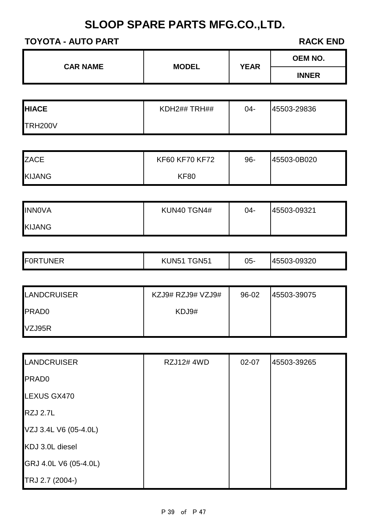| <b>CAR NAME</b> | <b>MODEL</b>   | <b>YEAR</b> | <b>OEM NO.</b> |
|-----------------|----------------|-------------|----------------|
|                 |                |             | <b>INNER</b>   |
|                 |                |             |                |
| <b>HIACE</b>    | KDH2## TRH##   | $04 -$      | 45503-29836    |
| TRH200V         |                |             |                |
|                 |                |             |                |
| <b>ZACE</b>     | KF60 KF70 KF72 | $96 -$      | 45503-0B020    |
| <b>KIJANG</b>   | <b>KF80</b>    |             |                |

| <b>INNOVA</b> | KUN40 TGN4# | $04 -$ | 45503-09321 |
|---------------|-------------|--------|-------------|
| <b>KIJANG</b> |             |        |             |

|  | <b>FOR</b><br><b>UNER</b> | GN <sub>5</sub><br><b>JN51</b><br>∟ K | 05- | 09320<br>- 45500<br>. |
|--|---------------------------|---------------------------------------|-----|-----------------------|
|--|---------------------------|---------------------------------------|-----|-----------------------|

| <b>LANDCRUISER</b> | KZJ9# RZJ9# VZJ9# | 96-02 | 145503-39075 |
|--------------------|-------------------|-------|--------------|
| <b>PRADO</b>       | KDJ9#             |       |              |
| VZJ95R             |                   |       |              |

| <b>LANDCRUISER</b>    | <b>RZJ12# 4WD</b> | $02 - 07$ | 45503-39265 |
|-----------------------|-------------------|-----------|-------------|
| <b>PRAD0</b>          |                   |           |             |
| LEXUS GX470           |                   |           |             |
| <b>RZJ 2.7L</b>       |                   |           |             |
| VZJ 3.4L V6 (05-4.0L) |                   |           |             |
| KDJ 3.0L diesel       |                   |           |             |
| GRJ 4.0L V6 (05-4.0L) |                   |           |             |
| TRJ 2.7 (2004-)       |                   |           |             |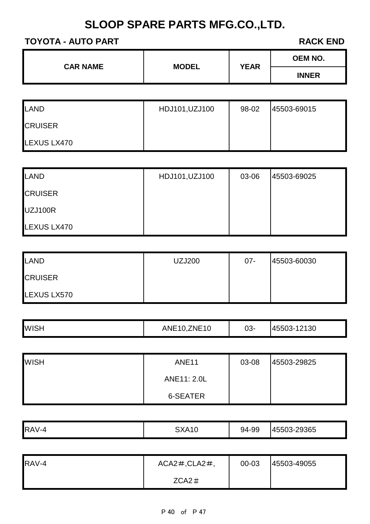| <b>INNER</b> | <b>CAR NAME</b> | <b>MODEL</b> | <b>YEAR</b> | <b>OEM NO.</b> |
|--------------|-----------------|--------------|-------------|----------------|
|              |                 |              |             |                |

| LAND           | HDJ101, UZJ100 | 98-02 | 45503-69015 |
|----------------|----------------|-------|-------------|
| <b>CRUISER</b> |                |       |             |
| LEXUS LX470    |                |       |             |

| LAND           | HDJ101, UZJ100 | 03-06 | 45503-69025 |
|----------------|----------------|-------|-------------|
| <b>CRUISER</b> |                |       |             |
| UZJ100R        |                |       |             |
| LEXUS LX470    |                |       |             |

| LAND           | <b>UZJ200</b> | $07 -$ | 45503-60030 |
|----------------|---------------|--------|-------------|
| <b>CRUISER</b> |               |        |             |
| LEXUS LX570    |               |        |             |

| <b>WISH</b> | <b>ZNE10</b><br>ANE <sub>10</sub> | 03- | 12130<br><b>14550J</b><br>`≺–` |
|-------------|-----------------------------------|-----|--------------------------------|
|             |                                   |     |                                |

| <b>WISH</b> | <b>ANE11</b> | 03-08 | 45503-29825 |
|-------------|--------------|-------|-------------|
|             | ANE11: 2.0L  |       |             |
|             | 6-SEATER     |       |             |

| RAV-4 | <b>SXA10</b> | 94-99 | 45503-29365 |
|-------|--------------|-------|-------------|
|       |              |       |             |

| RAV-4 | $ACA2\#$ , $CLA2\#$ , | 00-03 | 45503-49055 |
|-------|-----------------------|-------|-------------|
|       | $ZCA2 \#$             |       |             |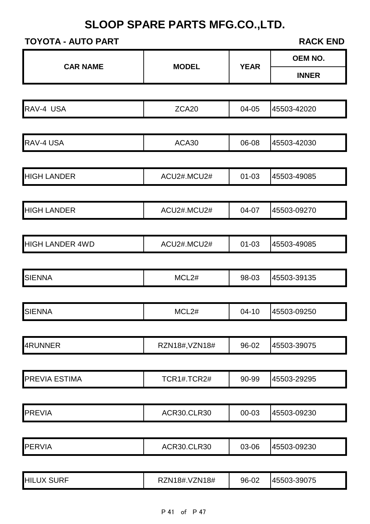| <b>CAR NAME</b>        | <b>MODEL</b>       | <b>YEAR</b> | <b>OEM NO.</b> |  |
|------------------------|--------------------|-------------|----------------|--|
|                        |                    |             | <b>INNER</b>   |  |
|                        |                    |             |                |  |
| RAV-4 USA              | ZCA20              | 04-05       | 45503-42020    |  |
|                        |                    |             |                |  |
| RAV-4 USA              | ACA30              | 06-08       | 45503-42030    |  |
| <b>HIGH LANDER</b>     | ACU2#.MCU2#        | $01 - 03$   | 45503-49085    |  |
|                        |                    |             |                |  |
| <b>HIGH LANDER</b>     | ACU2#.MCU2#        | 04-07       | 45503-09270    |  |
| <b>HIGH LANDER 4WD</b> | ACU2#.MCU2#        | $01 - 03$   | 45503-49085    |  |
| <b>SIENNA</b>          | MCL2#              | 98-03       | 45503-39135    |  |
| <b>SIENNA</b>          | MCL2#              | $04-10$     | 45503-09250    |  |
| 4RUNNER                | RZN18#, VZN18#     | 96-02       | 45503-39075    |  |
| PREVIA ESTIMA          | TCR1#.TCR2#        | 90-99       | 45503-29295    |  |
| <b>PREVIA</b>          | <b>ACR30.CLR30</b> | 00-03       | 45503-09230    |  |
| <b>PERVIA</b>          | <b>ACR30.CLR30</b> | 03-06       | 45503-09230    |  |
| <b>HILUX SURF</b>      | RZN18#.VZN18#      | 96-02       | 45503-39075    |  |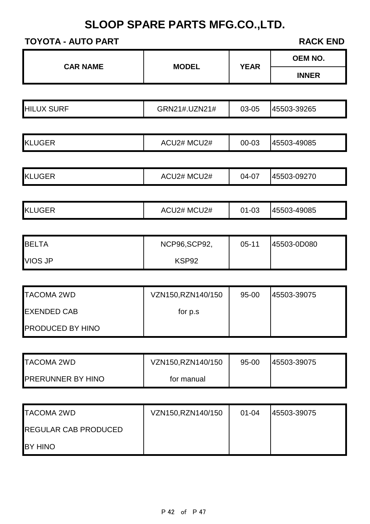| <b>CAR NAME</b>             | <b>MODEL</b>      | <b>YEAR</b> | <b>OEM NO.</b> |
|-----------------------------|-------------------|-------------|----------------|
|                             |                   |             | <b>INNER</b>   |
|                             |                   |             |                |
| <b>HILUX SURF</b>           | GRN21#.UZN21#     | 03-05       | 45503-39265    |
|                             |                   |             |                |
| <b>KLUGER</b>               | ACU2# MCU2#       | 00-03       | 45503-49085    |
|                             |                   |             |                |
| <b>KLUGER</b>               | ACU2# MCU2#       | 04-07       | 45503-09270    |
|                             |                   |             |                |
| <b>KLUGER</b>               | ACU2# MCU2#       | $01 - 03$   | 45503-49085    |
|                             |                   |             |                |
| <b>BELTA</b>                | NCP96,SCP92,      | $05 - 11$   | 45503-0D080    |
| <b>VIOS JP</b>              | KSP92             |             |                |
|                             |                   |             |                |
| <b>TACOMA 2WD</b>           | VZN150,RZN140/150 | 95-00       | 45503-39075    |
| <b>EXENDED CAB</b>          | for p.s           |             |                |
| PRODUCED BY HINO            |                   |             |                |
|                             |                   |             |                |
| <b>TACOMA 2WD</b>           | VZN150,RZN140/150 | 95-00       | 45503-39075    |
| <b>PRERUNNER BY HINO</b>    | for manual        |             |                |
|                             |                   |             |                |
| <b>TACOMA 2WD</b>           | VZN150,RZN140/150 | $01 - 04$   | 45503-39075    |
| <b>REGULAR CAB PRODUCED</b> |                   |             |                |
| BY HINO                     |                   |             |                |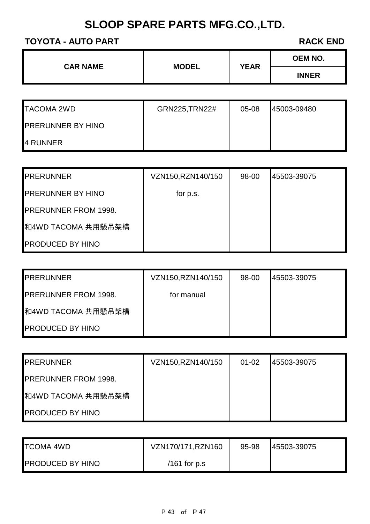|                 | <b>MODEL</b> |  | <b>YEAR</b>  | <b>OEM NO.</b> |
|-----------------|--------------|--|--------------|----------------|
| <b>CAR NAME</b> |              |  | <b>INNER</b> |                |
|                 |              |  |              |                |

| <b>TACOMA 2WD</b>        | GRN225, TRN22# | $05-08$ | 145003-09480 |
|--------------------------|----------------|---------|--------------|
| <b>PRERUNNER BY HINO</b> |                |         |              |
| 4 RUNNER                 |                |         |              |

| <b>PRERUNNER</b>            | VZN150, RZN140/150 | 98-00 | 45503-39075 |
|-----------------------------|--------------------|-------|-------------|
| <b>PRERUNNER BY HINO</b>    | for p.s.           |       |             |
| <b>PRERUNNER FROM 1998.</b> |                    |       |             |
| 和4WD TACOMA 共用懸吊架構          |                    |       |             |
| <b>PRODUCED BY HINO</b>     |                    |       |             |

| <b>IPRERUNNER</b>           | VZN150, RZN140/150 | 98-00 | 145503-39075 |
|-----------------------------|--------------------|-------|--------------|
| <b>PRERUNNER FROM 1998.</b> | for manual         |       |              |
| ■ 和4WD TACOMA 共用懸吊架構        |                    |       |              |
| <b>PRODUCED BY HINO</b>     |                    |       |              |

| <b>IPRERUNNER</b>           | VZN150, RZN140/150 | $01 - 02$ | 45503-39075 |
|-----------------------------|--------------------|-----------|-------------|
| <b>PRERUNNER FROM 1998.</b> |                    |           |             |
| ■ 和4WD TACOMA 共用懸吊架構        |                    |           |             |
| <b>PRODUCED BY HINO</b>     |                    |           |             |

| <b>TCOMA 4WD</b>        | VZN170/171, RZN160 | 95-98 | 145503-39075 |
|-------------------------|--------------------|-------|--------------|
| <b>PRODUCED BY HINO</b> | $/161$ for p.s     |       |              |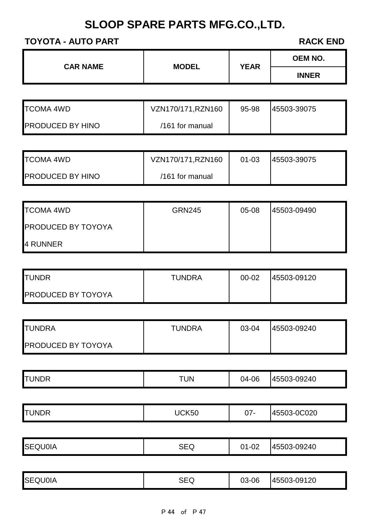| <b>CAR NAME</b> |              | <b>YEAR</b> | <b>OEM NO.</b> |
|-----------------|--------------|-------------|----------------|
|                 | <b>MODEL</b> |             | <b>INNER</b>   |
|                 |              |             |                |

| <b>TCOMA 4WD</b>        | VZN170/171, RZN160 | 95-98 | 45503-39075 |
|-------------------------|--------------------|-------|-------------|
| <b>PRODUCED BY HINO</b> | $/161$ for manual  |       |             |

| <b>TCOMA 4WD</b>        | VZN170/171, RZN160 | $01 - 03$ | 45503-39075 |
|-------------------------|--------------------|-----------|-------------|
| <b>PRODUCED BY HINO</b> | $/161$ for manual  |           |             |

| <b>TCOMA 4WD</b>          | <b>GRN245</b> | $05 - 08$ | 45503-09490 |
|---------------------------|---------------|-----------|-------------|
| <b>PRODUCED BY TOYOYA</b> |               |           |             |
| 4 RUNNER                  |               |           |             |

| <b>ITUNDR</b>             | <b>TUNDRA</b> | $00 - 02$ | 45503-09120 |
|---------------------------|---------------|-----------|-------------|
| <b>PRODUCED BY TOYOYA</b> |               |           |             |

| <b>ITUNDRA</b>            | TUNDRA | 03-04 | 145503-09240 |
|---------------------------|--------|-------|--------------|
| <b>PRODUCED BY TOYOYA</b> |        |       |              |

|  | <b>ITUN</b><br><b>INDR</b> | ΊUΝ | ∩ഭ<br>04-06 | $-09240$<br>UCC+'<br>ヽ– ៶ |
|--|----------------------------|-----|-------------|---------------------------|
|--|----------------------------|-----|-------------|---------------------------|

| .<br>,,,<br><b>UUZU</b> | <b>TUNDR</b> | JCK50 | $07 -$ | nonon.<br><b>45503</b> |
|-------------------------|--------------|-------|--------|------------------------|
|-------------------------|--------------|-------|--------|------------------------|

| <b>SEQU0IA</b><br><b>SEQ</b><br>$-09240$<br>145503<br>ົ^1-ບ∠<br>D3-0. |
|-----------------------------------------------------------------------|
|-----------------------------------------------------------------------|

| <b>SEQU0IA</b> | SEQ | 03-06 | 45503-09120 |
|----------------|-----|-------|-------------|
|----------------|-----|-------|-------------|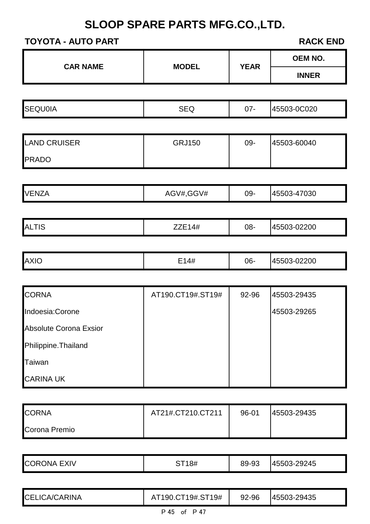## **TOYOTA - AUTO PART RACK END**

CARINA UK

| <b>CAR NAME</b>        | <b>MODEL</b>      | <b>YEAR</b> | <b>OEM NO.</b> |
|------------------------|-------------------|-------------|----------------|
|                        |                   |             | <b>INNER</b>   |
|                        |                   |             |                |
| <b>SEQU0IA</b>         | <b>SEQ</b>        | $07 -$      | 45503-0C020    |
|                        |                   |             |                |
| <b>LAND CRUISER</b>    | <b>GRJ150</b>     | 09-         | 45503-60040    |
| <b>PRADO</b>           |                   |             |                |
|                        |                   |             |                |
| <b>VENZA</b>           | AGV#,GGV#         | 09-         | 45503-47030    |
|                        |                   |             |                |
| <b>ALTIS</b>           | <b>ZZE14#</b>     | 08-         | 45503-02200    |
|                        |                   |             |                |
| <b>AXIO</b>            | E14#              | 06-         | 45503-02200    |
|                        |                   |             |                |
| <b>CORNA</b>           | AT190.CT19#.ST19# | 92-96       | 45503-29435    |
| Indoesia:Corone        |                   |             | 45503-29265    |
| Absolute Corona Exsior |                   |             |                |
| Philippine. Thailand   |                   |             |                |
| Taiwan                 |                   |             |                |

| <b>CORNA</b>  | AT21#.CT210.CT211 | 96-01 | 45503-29435 |
|---------------|-------------------|-------|-------------|
| Corona Premio |                   |       |             |

| <b>CORONA EXIV</b> | ST18# | 89-93 | 45503-29245 |
|--------------------|-------|-------|-------------|
|                    |       |       |             |

| <b>CELICA/CARINA</b> | AT190.CT19#.ST19# | 92-96 | 45503-29435 |
|----------------------|-------------------|-------|-------------|
|                      | P 45 of P 47      |       |             |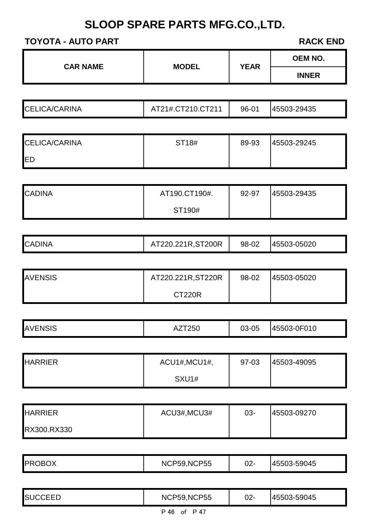| <b>CAR NAME</b> | <b>MODEL</b> | <b>YEAR</b> | <b>OEM NO.</b> |
|-----------------|--------------|-------------|----------------|
|                 |              |             | <b>INNER</b>   |

| <b>CELICA/CARINA</b> | AT21#.CT210.CT211 | 96-01 | 45503-29435 |
|----------------------|-------------------|-------|-------------|
|----------------------|-------------------|-------|-------------|

| <b>CELICA/CARINA</b> | ST18# | 89-93 | 45503-29245 |
|----------------------|-------|-------|-------------|
| <b>IED</b>           |       |       |             |

| <b>CADINA</b> | AT190.CT190#. | 92-97 | 45503-29435 |
|---------------|---------------|-------|-------------|
|               | ST190#        |       |             |

| <b>CADINA</b> | T220.221R,ST200R | 98-02 | 45503-05020 |
|---------------|------------------|-------|-------------|
|---------------|------------------|-------|-------------|

| <b>AVENSIS</b> | AT220.221R, ST220R | 98-02 | 45503-05020 |
|----------------|--------------------|-------|-------------|
|                | CT220R             |       |             |

| <b>JAV</b><br>'N.<br>טוט | 25U<br>∼ | ے مہ<br>nn.<br>⊽ບ<br>ิบ | -0F010<br>45503-0 |
|--------------------------|----------|-------------------------|-------------------|
|--------------------------|----------|-------------------------|-------------------|

| <b>HARRIER</b> | ACU1#, MCU1#, | 97-03 | 45503-49095 |
|----------------|---------------|-------|-------------|
|                | SXU1#         |       |             |

| <b>HARRIER</b> | ACU3#, MCU3# | $03 -$ | 45503-09270 |
|----------------|--------------|--------|-------------|
| RX300.RX330    |              |        |             |

| <b>PROBOX</b><br><b>NCP59, NCP55</b><br>45503-59045<br>$02 -$ |  |
|---------------------------------------------------------------|--|
|---------------------------------------------------------------|--|